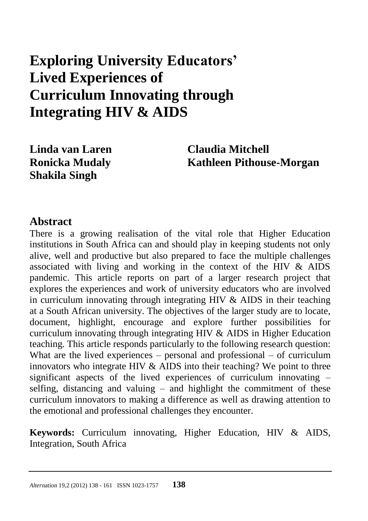# **Exploring University Educators' Lived Experiences of Curriculum Innovating through Integrating HIV & AIDS**

**Shakila Singh**

**Linda van Laren Claudia Mitchell Ronicka Mudaly Kathleen Pithouse-Morgan** 

#### **Abstract**

There is a growing realisation of the vital role that Higher Education institutions in South Africa can and should play in keeping students not only alive, well and productive but also prepared to face the multiple challenges associated with living and working in the context of the HIV & AIDS pandemic. This article reports on part of a larger research project that explores the experiences and work of university educators who are involved in curriculum innovating through integrating HIV  $\&$  AIDS in their teaching at a South African university. The objectives of the larger study are to locate, document, highlight, encourage and explore further possibilities for curriculum innovating through integrating HIV & AIDS in Higher Education teaching. This article responds particularly to the following research question: What are the lived experiences – personal and professional – of curriculum innovators who integrate HIV & AIDS into their teaching? We point to three significant aspects of the lived experiences of curriculum innovating – selfing, distancing and valuing – and highlight the commitment of these curriculum innovators to making a difference as well as drawing attention to the emotional and professional challenges they encounter.

**Keywords:** Curriculum innovating, Higher Education, HIV & AIDS, Integration, South Africa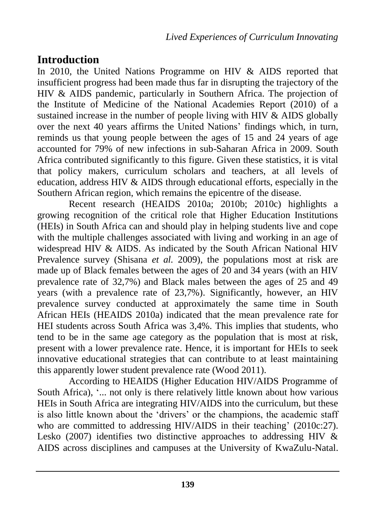# **Introduction**

In 2010, the United Nations Programme on HIV & AIDS reported that insufficient progress had been made thus far in disrupting the trajectory of the HIV & AIDS pandemic, particularly in Southern Africa. The projection of the Institute of Medicine of the National Academies Report (2010) of a sustained increase in the number of people living with HIV  $\&$  AIDS globally over the next 40 years affirms the United Nations' findings which, in turn, reminds us that young people between the ages of 15 and 24 years of age accounted for 79% of new infections in sub-Saharan Africa in 2009. South Africa contributed significantly to this figure. Given these statistics, it is vital that policy makers, curriculum scholars and teachers, at all levels of education, address HIV & AIDS through educational efforts, especially in the Southern African region, which remains the epicentre of the disease.

Recent research (HEAIDS 2010a; 2010b; 2010c) highlights a growing recognition of the critical role that Higher Education Institutions (HEIs) in South Africa can and should play in helping students live and cope with the multiple challenges associated with living and working in an age of widespread HIV & AIDS. As indicated by the South African National HIV Prevalence survey (Shisana *et al.* 2009), the populations most at risk are made up of Black females between the ages of 20 and 34 years (with an HIV prevalence rate of 32,7%) and Black males between the ages of 25 and 49 years (with a prevalence rate of 23,7%). Significantly, however, an HIV prevalence survey conducted at approximately the same time in South African HEIs (HEAIDS 2010a) indicated that the mean prevalence rate for HEI students across South Africa was 3,4%. This implies that students, who tend to be in the same age category as the population that is most at risk, present with a lower prevalence rate. Hence, it is important for HEIs to seek innovative educational strategies that can contribute to at least maintaining this apparently lower student prevalence rate (Wood 2011).

According to HEAIDS (Higher Education HIV/AIDS Programme of South Africa), '... not only is there relatively little known about how various HEIs in South Africa are integrating HIV/AIDS into the curriculum, but these is also little known about the 'drivers' or the champions, the academic staff who are committed to addressing HIV/AIDS in their teaching' (2010c:27). Lesko (2007) identifies two distinctive approaches to addressing HIV  $\&$ AIDS across disciplines and campuses at the University of KwaZulu-Natal.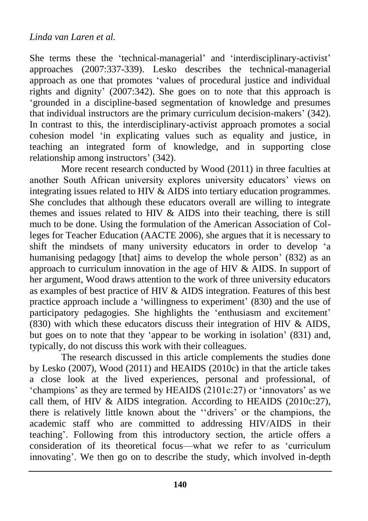She terms these the 'technical-managerial' and 'interdisciplinary-activist' approaches (2007:337-339). Lesko describes the technical-managerial approach as one that promotes 'values of procedural justice and individual rights and dignity' (2007:342). She goes on to note that this approach is 'grounded in a discipline-based segmentation of knowledge and presumes that individual instructors are the primary curriculum decision-makers' (342). In contrast to this, the interdisciplinary-activist approach promotes a social cohesion model 'in explicating values such as equality and justice, in teaching an integrated form of knowledge, and in supporting close relationship among instructors' (342).

More recent research conducted by Wood (2011) in three faculties at another South African university explores university educators' views on integrating issues related to HIV & AIDS into tertiary education programmes. She concludes that although these educators overall are willing to integrate themes and issues related to HIV & AIDS into their teaching, there is still much to be done. Using the formulation of the American Association of Colleges for Teacher Education (AACTE 2006), she argues that it is necessary to shift the mindsets of many university educators in order to develop 'a humanising pedagogy [that] aims to develop the whole person' (832) as an approach to curriculum innovation in the age of HIV  $\&$  AIDS. In support of her argument, Wood draws attention to the work of three university educators as examples of best practice of HIV & AIDS integration. Features of this best practice approach include a 'willingness to experiment' (830) and the use of participatory pedagogies. She highlights the 'enthusiasm and excitement' (830) with which these educators discuss their integration of HIV & AIDS, but goes on to note that they 'appear to be working in isolation' (831) and, typically, do not discuss this work with their colleagues.

The research discussed in this article complements the studies done by Lesko (2007), Wood (2011) and HEAIDS (2010c) in that the article takes a close look at the lived experiences, personal and professional, of 'champions' as they are termed by HEAIDS (2101c:27) or 'innovators' as we call them, of HIV & AIDS integration. According to HEAIDS (2010c:27), there is relatively little known about the ''drivers' or the champions, the academic staff who are committed to addressing HIV/AIDS in their teaching'. Following from this introductory section, the article offers a consideration of its theoretical focus—what we refer to as 'curriculum innovating'. We then go on to describe the study, which involved in-depth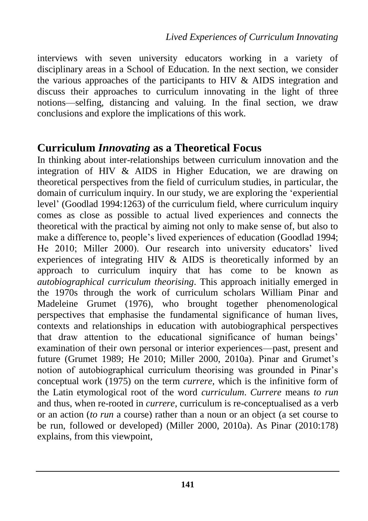interviews with seven university educators working in a variety of disciplinary areas in a School of Education. In the next section, we consider the various approaches of the participants to HIV & AIDS integration and discuss their approaches to curriculum innovating in the light of three notions—selfing, distancing and valuing. In the final section, we draw conclusions and explore the implications of this work.

#### **Curriculum** *Innovating* **as a Theoretical Focus**

In thinking about inter-relationships between curriculum innovation and the integration of HIV & AIDS in Higher Education, we are drawing on theoretical perspectives from the field of curriculum studies, in particular, the domain of curriculum inquiry. In our study, we are exploring the 'experiential level' (Goodlad 1994:1263) of the curriculum field, where curriculum inquiry comes as close as possible to actual lived experiences and connects the theoretical with the practical by aiming not only to make sense of, but also to make a difference to, people's lived experiences of education (Goodlad 1994; He 2010; Miller 2000). Our research into university educators' lived experiences of integrating HIV & AIDS is theoretically informed by an approach to curriculum inquiry that has come to be known as *autobiographical curriculum theorising*. This approach initially emerged in the 1970s through the work of curriculum scholars William Pinar and Madeleine Grumet (1976), who brought together phenomenological perspectives that emphasise the fundamental significance of human lives, contexts and relationships in education with autobiographical perspectives that draw attention to the educational significance of human beings' examination of their own personal or interior experiences—past, present and future (Grumet 1989; He 2010; Miller 2000, 2010a). Pinar and Grumet's notion of autobiographical curriculum theorising was grounded in Pinar's conceptual work (1975) on the term *currere,* which is the infinitive form of the Latin etymological root of the word *curriculum*. *Currere* means *to run*  and thus, when re-rooted in *currere*, curriculum is re-conceptualised as a verb or an action (*to run* a course) rather than a noun or an object (a set course to be run, followed or developed) (Miller 2000, 2010a). As Pinar (2010:178) explains, from this viewpoint,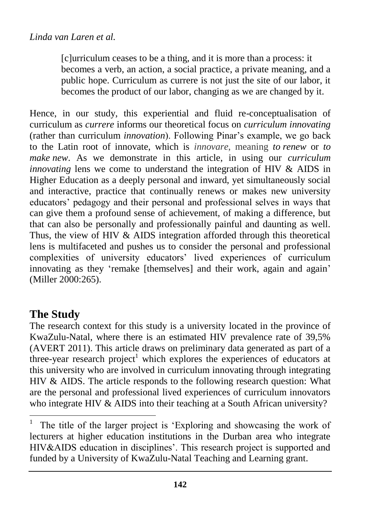[c]urriculum ceases to be a thing, and it is more than a process: it becomes a verb, an action, a social practice, a private meaning, and a public hope. Curriculum as currere is not just the site of our labor, it becomes the product of our labor, changing as we are changed by it.

Hence, in our study, this experiential and fluid re-conceptualisation of curriculum as *currere* informs our theoretical focus on *curriculum innovating* (rather than curriculum *innovation*). Following Pinar's example, we go back to the Latin root of innovate, which is *innovare*, meaning *to renew* or *to make new*. As we demonstrate in this article, in using our *curriculum innovating* lens we come to understand the integration of HIV & AIDS in Higher Education as a deeply personal and inward, yet simultaneously social and interactive, practice that continually renews or makes new university educators' pedagogy and their personal and professional selves in ways that can give them a profound sense of achievement, of making a difference, but that can also be personally and professionally painful and daunting as well. Thus, the view of HIV & AIDS integration afforded through this theoretical lens is multifaceted and pushes us to consider the personal and professional complexities of university educators' lived experiences of curriculum innovating as they 'remake [themselves] and their work, again and again' (Miller 2000:265).

# **The Study**

 $\overline{a}$ 

The research context for this study is a university located in the province of KwaZulu-Natal, where there is an estimated HIV prevalence rate of 39,5% (AVERT 2011). This article draws on preliminary data generated as part of a three-year research project<sup>1</sup> which explores the experiences of educators at this university who are involved in curriculum innovating through integrating HIV & AIDS. The article responds to the following research question: What are the personal and professional lived experiences of curriculum innovators who integrate HIV & AIDS into their teaching at a South African university?

<sup>1</sup> The title of the larger project is 'Exploring and showcasing the work of lecturers at higher education institutions in the Durban area who integrate HIV&AIDS education in disciplines'. This research project is supported and funded by a University of KwaZulu-Natal Teaching and Learning grant.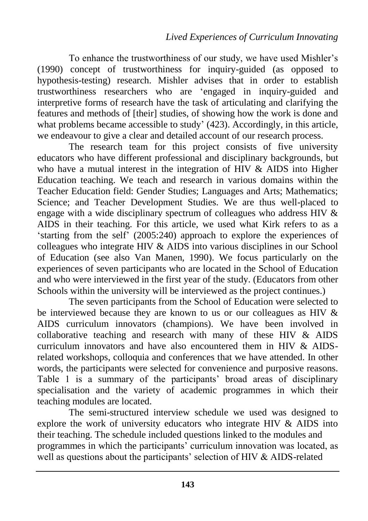To enhance the trustworthiness of our study, we have used Mishler's (1990) concept of trustworthiness for inquiry-guided (as opposed to hypothesis-testing) research. Mishler advises that in order to establish trustworthiness researchers who are 'engaged in inquiry-guided and interpretive forms of research have the task of articulating and clarifying the features and methods of [their] studies, of showing how the work is done and what problems became accessible to study' (423). Accordingly, in this article, we endeavour to give a clear and detailed account of our research process.

The research team for this project consists of five university educators who have different professional and disciplinary backgrounds, but who have a mutual interest in the integration of HIV & AIDS into Higher Education teaching. We teach and research in various domains within the Teacher Education field: Gender Studies; Languages and Arts; Mathematics; Science; and Teacher Development Studies. We are thus well-placed to engage with a wide disciplinary spectrum of colleagues who address HIV & AIDS in their teaching. For this article, we used what Kirk refers to as a 'starting from the self' (2005:240) approach to explore the experiences of colleagues who integrate HIV & AIDS into various disciplines in our School of Education (see also Van Manen, 1990). We focus particularly on the experiences of seven participants who are located in the School of Education and who were interviewed in the first year of the study. (Educators from other Schools within the university will be interviewed as the project continues.)

The seven participants from the School of Education were selected to be interviewed because they are known to us or our colleagues as HIV & AIDS curriculum innovators (champions). We have been involved in collaborative teaching and research with many of these HIV & AIDS curriculum innovators and have also encountered them in HIV & AIDSrelated workshops, colloquia and conferences that we have attended. In other words, the participants were selected for convenience and purposive reasons. Table 1 is a summary of the participants' broad areas of disciplinary specialisation and the variety of academic programmes in which their teaching modules are located.

The semi-structured interview schedule we used was designed to explore the work of university educators who integrate HIV  $\&$  AIDS into their teaching. The schedule included questions linked to the modules and programmes in which the participants' curriculum innovation was located, as well as questions about the participants' selection of HIV & AIDS-related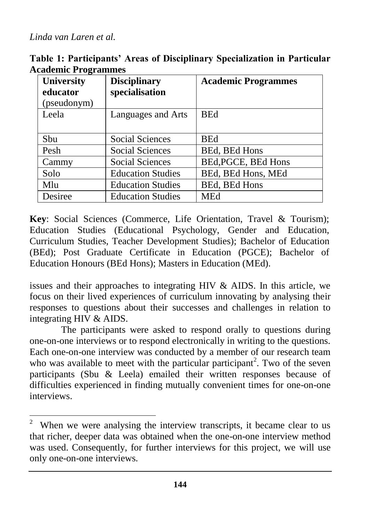$\overline{a}$ 

**Table 1: Participants' Areas of Disciplinary Specialization in Particular Academic Programmes**

| <b>University</b><br>educator | <b>Disciplinary</b><br>specialisation | <b>Academic Programmes</b> |
|-------------------------------|---------------------------------------|----------------------------|
| (pseudonym)                   |                                       |                            |
| Leela                         | Languages and Arts                    | <b>BEd</b>                 |
| Sbu                           | Social Sciences                       | <b>BEd</b>                 |
| Pesh                          | Social Sciences                       | BEd, BEd Hons              |
| Cammy                         | Social Sciences                       | BEd, PGCE, BEd Hons        |
| Solo                          | <b>Education Studies</b>              | BEd, BEd Hons, MEd         |
| Mlu                           | <b>Education Studies</b>              | <b>BEd, BEd Hons</b>       |
| Desiree                       | <b>Education Studies</b>              | MEd                        |

**Key**: Social Sciences (Commerce, Life Orientation, Travel & Tourism); Education Studies (Educational Psychology, Gender and Education, Curriculum Studies, Teacher Development Studies); Bachelor of Education (BEd); Post Graduate Certificate in Education (PGCE); Bachelor of Education Honours (BEd Hons); Masters in Education (MEd).

issues and their approaches to integrating HIV & AIDS. In this article, we focus on their lived experiences of curriculum innovating by analysing their responses to questions about their successes and challenges in relation to integrating HIV & AIDS.

The participants were asked to respond orally to questions during one-on-one interviews or to respond electronically in writing to the questions. Each one-on-one interview was conducted by a member of our research team who was available to meet with the particular participant<sup>2</sup>. Two of the seven participants (Sbu & Leela) emailed their written responses because of difficulties experienced in finding mutually convenient times for one-on-one interviews.

<sup>&</sup>lt;sup>2</sup> When we were analysing the interview transcripts, it became clear to us that richer, deeper data was obtained when the one-on-one interview method was used. Consequently, for further interviews for this project, we will use only one-on-one interviews.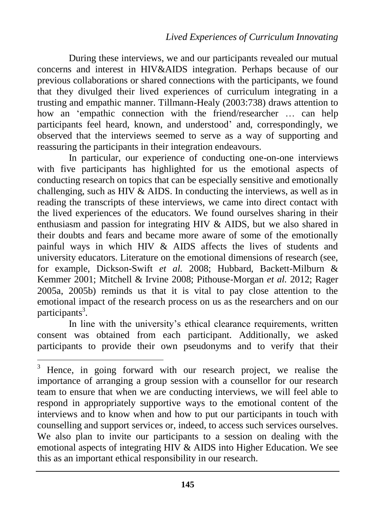During these interviews, we and our participants revealed our mutual concerns and interest in HIV&AIDS integration. Perhaps because of our previous collaborations or shared connections with the participants, we found that they divulged their lived experiences of curriculum integrating in a trusting and empathic manner. Tillmann-Healy (2003:738) draws attention to how an 'empathic connection with the friend/researcher ... can help participants feel heard, known, and understood' and, correspondingly, we observed that the interviews seemed to serve as a way of supporting and reassuring the participants in their integration endeavours.

In particular, our experience of conducting one-on-one interviews with five participants has highlighted for us the emotional aspects of conducting research on topics that can be especially sensitive and emotionally challenging, such as HIV & AIDS. In conducting the interviews, as well as in reading the transcripts of these interviews, we came into direct contact with the lived experiences of the educators. We found ourselves sharing in their enthusiasm and passion for integrating HIV & AIDS, but we also shared in their doubts and fears and became more aware of some of the emotionally painful ways in which HIV & AIDS affects the lives of students and university educators. Literature on the emotional dimensions of research (see, for example, Dickson-Swift *et al.* 2008; Hubbard, Backett-Milburn & Kemmer 2001; Mitchell & Irvine 2008; Pithouse-Morgan *et al.* 2012; Rager 2005a, 2005b) reminds us that it is vital to pay close attention to the emotional impact of the research process on us as the researchers and on our participants<sup>3</sup>.

In line with the university's ethical clearance requirements, written consent was obtained from each participant. Additionally, we asked participants to provide their own pseudonyms and to verify that their

 $\overline{\phantom{a}}$ 

<sup>&</sup>lt;sup>3</sup> Hence, in going forward with our research project, we realise the importance of arranging a group session with a counsellor for our research team to ensure that when we are conducting interviews, we will feel able to respond in appropriately supportive ways to the emotional content of the interviews and to know when and how to put our participants in touch with counselling and support services or, indeed, to access such services ourselves. We also plan to invite our participants to a session on dealing with the emotional aspects of integrating HIV & AIDS into Higher Education. We see this as an important ethical responsibility in our research.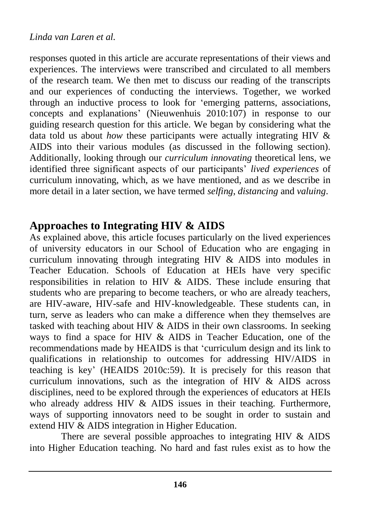responses quoted in this article are accurate representations of their views and experiences. The interviews were transcribed and circulated to all members of the research team. We then met to discuss our reading of the transcripts and our experiences of conducting the interviews. Together, we worked through an inductive process to look for 'emerging patterns, associations, concepts and explanations' (Nieuwenhuis 2010:107) in response to our guiding research question for this article. We began by considering what the data told us about *how* these participants were actually integrating HIV & AIDS into their various modules (as discussed in the following section). Additionally, looking through our *curriculum innovating* theoretical lens, we identified three significant aspects of our participants' *lived experiences* of curriculum innovating, which, as we have mentioned, and as we describe in more detail in a later section, we have termed *selfing*, *distancing* and *valuing*.

### **Approaches to Integrating HIV & AIDS**

As explained above, this article focuses particularly on the lived experiences of university educators in our School of Education who are engaging in curriculum innovating through integrating HIV & AIDS into modules in Teacher Education. Schools of Education at HEIs have very specific responsibilities in relation to HIV & AIDS. These include ensuring that students who are preparing to become teachers, or who are already teachers, are HIV-aware, HIV-safe and HIV-knowledgeable. These students can, in turn, serve as leaders who can make a difference when they themselves are tasked with teaching about HIV & AIDS in their own classrooms. In seeking ways to find a space for HIV & AIDS in Teacher Education, one of the recommendations made by HEAIDS is that 'curriculum design and its link to qualifications in relationship to outcomes for addressing HIV/AIDS in teaching is key' (HEAIDS 2010c:59). It is precisely for this reason that curriculum innovations, such as the integration of HIV & AIDS across disciplines, need to be explored through the experiences of educators at HEIs who already address HIV & AIDS issues in their teaching. Furthermore, ways of supporting innovators need to be sought in order to sustain and extend HIV & AIDS integration in Higher Education.

There are several possible approaches to integrating HIV & AIDS into Higher Education teaching. No hard and fast rules exist as to how the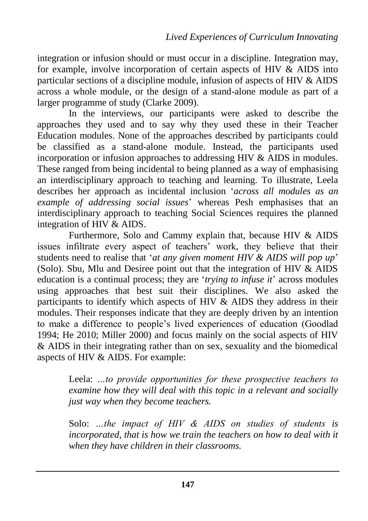integration or infusion should or must occur in a discipline. Integration may, for example, involve incorporation of certain aspects of HIV  $\&$  AIDS into particular sections of a discipline module, infusion of aspects of HIV & AIDS across a whole module, or the design of a stand-alone module as part of a larger programme of study (Clarke 2009).

In the interviews, our participants were asked to describe the approaches they used and to say why they used these in their Teacher Education modules. None of the approaches described by participants could be classified as a stand-alone module. Instead, the participants used incorporation or infusion approaches to addressing HIV & AIDS in modules. These ranged from being incidental to being planned as a way of emphasising an interdisciplinary approach to teaching and learning. To illustrate, Leela describes her approach as incidental inclusion '*across all modules as an example of addressing social issues*' whereas Pesh emphasises that an interdisciplinary approach to teaching Social Sciences requires the planned integration of HIV & AIDS.

Furthermore, Solo and Cammy explain that, because HIV & AIDS issues infiltrate every aspect of teachers' work, they believe that their students need to realise that '*at any given moment HIV & AIDS will pop up*' (Solo). Sbu, Mlu and Desiree point out that the integration of HIV & AIDS education is a continual process; they are '*trying to infuse it*' across modules using approaches that best suit their disciplines. We also asked the participants to identify which aspects of HIV  $\&$  AIDS they address in their modules. Their responses indicate that they are deeply driven by an intention to make a difference to people's lived experiences of education (Goodlad 1994; He 2010; Miller 2000) and focus mainly on the social aspects of HIV & AIDS in their integrating rather than on sex, sexuality and the biomedical aspects of HIV & AIDS. For example:

Leela: *…to provide opportunities for these prospective teachers to examine how they will deal with this topic in a relevant and socially just way when they become teachers.*

Solo: *…the impact of HIV & AIDS on studies of students is*  incorporated, that is how we train the teachers on how to deal with it *when they have children in their classrooms.*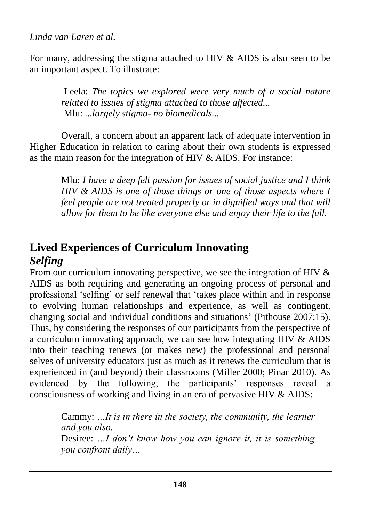For many, addressing the stigma attached to HIV & AIDS is also seen to be an important aspect. To illustrate:

> Leela: *The topics we explored were very much of a social nature related to issues of stigma attached to those affected...*  Mlu: *...largely stigma- no biomedicals...*

Overall, a concern about an apparent lack of adequate intervention in Higher Education in relation to caring about their own students is expressed as the main reason for the integration of HIV & AIDS. For instance:

Mlu: *I have a deep felt passion for issues of social justice and I think HIV & AIDS is one of those things or one of those aspects where I feel people are not treated properly or in dignified ways and that will allow for them to be like everyone else and enjoy their life to the full.*

# **Lived Experiences of Curriculum Innovating** *Selfing*

From our curriculum innovating perspective, we see the integration of HIV  $\&$ AIDS as both requiring and generating an ongoing process of personal and professional 'selfing' or self renewal that 'takes place within and in response to evolving human relationships and experience, as well as contingent, changing social and individual conditions and situations' (Pithouse 2007:15). Thus, by considering the responses of our participants from the perspective of a curriculum innovating approach, we can see how integrating HIV & AIDS into their teaching renews (or makes new) the professional and personal selves of university educators just as much as it renews the curriculum that is experienced in (and beyond) their classrooms (Miller 2000; Pinar 2010). As evidenced by the following, the participants' responses reveal a consciousness of working and living in an era of pervasive HIV & AIDS:

> Cammy: *…It is in there in the society, the community, the learner and you also.* Desiree: *…I don't know how you can ignore it, it is something you confront daily…*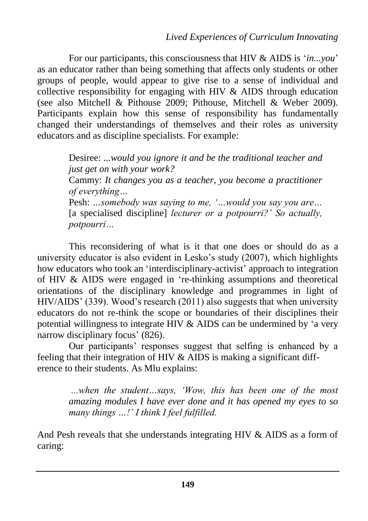For our participants, this consciousness that HIV & AIDS is '*in...you*' as an educator rather than being something that affects only students or other groups of people, would appear to give rise to a sense of individual and collective responsibility for engaging with HIV & AIDS through education (see also Mitchell & Pithouse 2009; Pithouse, Mitchell & Weber 2009). Participants explain how this sense of responsibility has fundamentally changed their understandings of themselves and their roles as university educators and as discipline specialists. For example:

Desiree: *...would you ignore it and be the traditional teacher and just get on with your work?* Cammy: *It changes you as a teacher, you become a practitioner of everything…* Pesh: *…somebody was saying to me, '…would you say you are…*  [a specialised discipline] *lecturer or a potpourri?'* So actually, *potpourri…*

This reconsidering of what is it that one does or should do as a university educator is also evident in Lesko's study (2007), which highlights how educators who took an 'interdisciplinary-activist' approach to integration of HIV & AIDS were engaged in 're-thinking assumptions and theoretical orientations of the disciplinary knowledge and programmes in light of HIV/AIDS' (339). Wood's research (2011) also suggests that when university educators do not re-think the scope or boundaries of their disciplines their potential willingness to integrate HIV & AIDS can be undermined by 'a very narrow disciplinary focus' (826).

Our participants' responses suggest that selfing is enhanced by a feeling that their integration of HIV & AIDS is making a significant difference to their students. As Mlu explains:

> *...when the student…says, 'Wow, this has been one of the most amazing modules I have ever done and it has opened my eyes to so many things …!' I think I feel fulfilled.*

And Pesh reveals that she understands integrating HIV & AIDS as a form of caring: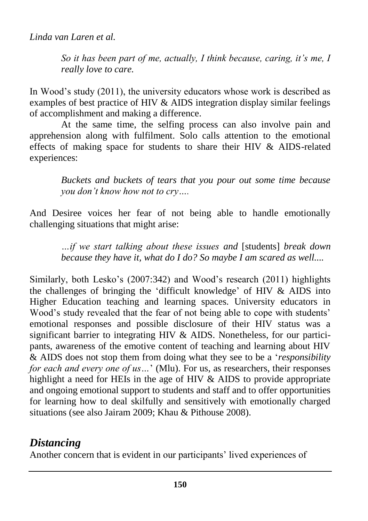*So it has been part of me, actually, I think because, caring, it's me, I really love to care.*

In Wood's study (2011), the university educators whose work is described as examples of best practice of HIV & AIDS integration display similar feelings of accomplishment and making a difference.

At the same time, the selfing process can also involve pain and apprehension along with fulfilment. Solo calls attention to the emotional effects of making space for students to share their HIV & AIDS-related experiences:

> *Buckets and buckets of tears that you pour out some time because you don't know how not to cry….*

And Desiree voices her fear of not being able to handle emotionally challenging situations that might arise:

> *…if we start talking about these issues and* [students] *break down because they have it, what do I do? So maybe I am scared as well....*

Similarly, both Lesko's (2007:342) and Wood's research (2011) highlights the challenges of bringing the 'difficult knowledge' of HIV & AIDS into Higher Education teaching and learning spaces. University educators in Wood's study revealed that the fear of not being able to cope with students' emotional responses and possible disclosure of their HIV status was a significant barrier to integrating HIV & AIDS. Nonetheless, for our participants, awareness of the emotive content of teaching and learning about HIV & AIDS does not stop them from doing what they see to be a '*responsibility for each and every one of us…*' (Mlu). For us, as researchers, their responses highlight a need for HEIs in the age of HIV & AIDS to provide appropriate and ongoing emotional support to students and staff and to offer opportunities for learning how to deal skilfully and sensitively with emotionally charged situations (see also Jairam 2009; Khau & Pithouse 2008).

# *Distancing*

Another concern that is evident in our participants' lived experiences of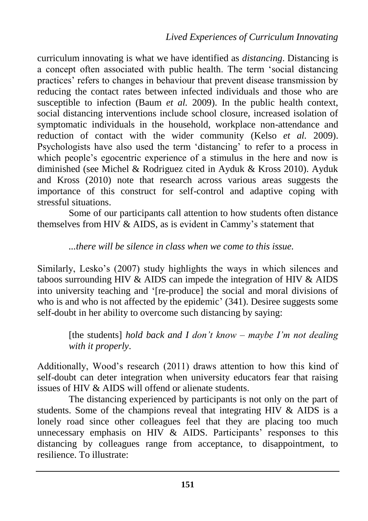curriculum innovating is what we have identified as *distancing*. Distancing is a concept often associated with public health. The term 'social distancing practices' refers to changes in behaviour that prevent disease transmission by reducing the contact rates between infected individuals and those who are susceptible to infection (Baum *et al.* 2009). In the public health context, social distancing interventions include school closure, increased isolation of symptomatic individuals in the household, workplace non-attendance and reduction of contact with the wider community (Kelso *et al.* 2009). Psychologists have also used the term 'distancing' to refer to a process in which people's egocentric experience of a stimulus in the here and now is diminished (see Michel & Rodriguez cited in Ayduk & Kross 2010). Ayduk and Kross (2010) note that research across various areas suggests the importance of this construct for self-control and adaptive coping with stressful situations.

Some of our participants call attention to how students often distance themselves from HIV & AIDS, as is evident in Cammy's statement that

#### *...there will be silence in class when we come to this issue.*

Similarly, Lesko's (2007) study highlights the ways in which silences and taboos surrounding HIV & AIDS can impede the integration of HIV & AIDS into university teaching and '[re-produce] the social and moral divisions of who is and who is not affected by the epidemic' (341). Desiree suggests some self-doubt in her ability to overcome such distancing by saying:

> [the students] *hold back and I don't know – maybe I'm not dealing with it properly*.

Additionally, Wood's research (2011) draws attention to how this kind of self-doubt can deter integration when university educators fear that raising issues of HIV & AIDS will offend or alienate students.

The distancing experienced by participants is not only on the part of students. Some of the champions reveal that integrating HIV & AIDS is a lonely road since other colleagues feel that they are placing too much unnecessary emphasis on HIV & AIDS. Participants' responses to this distancing by colleagues range from acceptance, to disappointment, to resilience. To illustrate: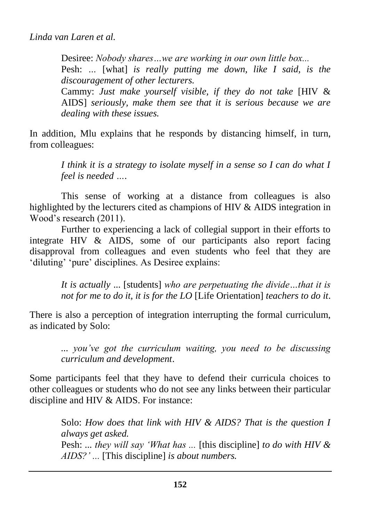Desiree: *Nobody shares…we are working in our own little box...* Pesh: *…* [what] *is really putting me down, like I said, is the discouragement of other lecturers.* Cammy: *Just make yourself visible, if they do not take* [HIV & AIDS] *seriously, make them see that it is serious because we are dealing with these issues.*

In addition, Mlu explains that he responds by distancing himself, in turn, from colleagues:

*I think it is a strategy to isolate myself in a sense so I can do what I feel is needed ….*

This sense of working at a distance from colleagues is also highlighted by the lecturers cited as champions of HIV & AIDS integration in Wood's research (2011).

Further to experiencing a lack of collegial support in their efforts to integrate HIV & AIDS, some of our participants also report facing disapproval from colleagues and even students who feel that they are 'diluting' 'pure' disciplines. As Desiree explains:

> *It is actually* ... [students] *who are perpetuating the divide…that it is not for me to do it, it is for the LO* [Life Orientation] *teachers to do it*.

There is also a perception of integration interrupting the formal curriculum, as indicated by Solo:

> *... you've got the curriculum waiting, you need to be discussing curriculum and development*.

Some participants feel that they have to defend their curricula choices to other colleagues or students who do not see any links between their particular discipline and HIV & AIDS. For instance:

> Solo: *How does that link with HIV & AIDS? That is the question I always get asked.* Pesh: *... they will say 'What has ...* [this discipline] *to do with HIV & AIDS?' ...* [This discipline] *is about numbers.*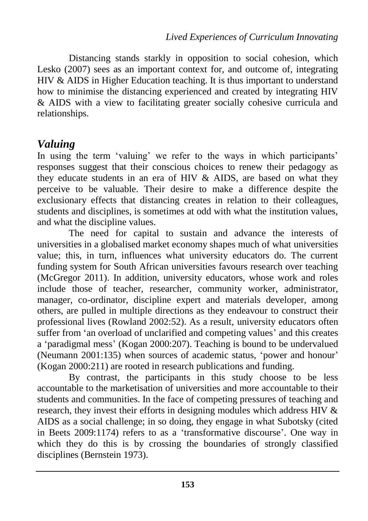Distancing stands starkly in opposition to social cohesion, which Lesko (2007) sees as an important context for, and outcome of, integrating HIV & AIDS in Higher Education teaching. It is thus important to understand how to minimise the distancing experienced and created by integrating HIV & AIDS with a view to facilitating greater socially cohesive curricula and relationships.

## *Valuing*

In using the term 'valuing' we refer to the ways in which participants' responses suggest that their conscious choices to renew their pedagogy as they educate students in an era of HIV & AIDS, are based on what they perceive to be valuable. Their desire to make a difference despite the exclusionary effects that distancing creates in relation to their colleagues, students and disciplines, is sometimes at odd with what the institution values, and what the discipline values.

The need for capital to sustain and advance the interests of universities in a globalised market economy shapes much of what universities value; this, in turn, influences what university educators do. The current funding system for South African universities favours research over teaching (McGregor 2011). In addition, university educators, whose work and roles include those of teacher, researcher, community worker, administrator, manager, co-ordinator, discipline expert and materials developer, among others, are pulled in multiple directions as they endeavour to construct their professional lives (Rowland 2002:52). As a result, university educators often suffer from 'an overload of unclarified and competing values' and this creates a 'paradigmal mess' (Kogan 2000:207). Teaching is bound to be undervalued (Neumann 2001:135) when sources of academic status, 'power and honour' (Kogan 2000:211) are rooted in research publications and funding.

By contrast, the participants in this study choose to be less accountable to the marketisation of universities and more accountable to their students and communities. In the face of competing pressures of teaching and research, they invest their efforts in designing modules which address HIV & AIDS as a social challenge; in so doing, they engage in what Subotsky (cited in Beets 2009:1174) refers to as a 'transformative discourse'. One way in which they do this is by crossing the boundaries of strongly classified disciplines (Bernstein 1973).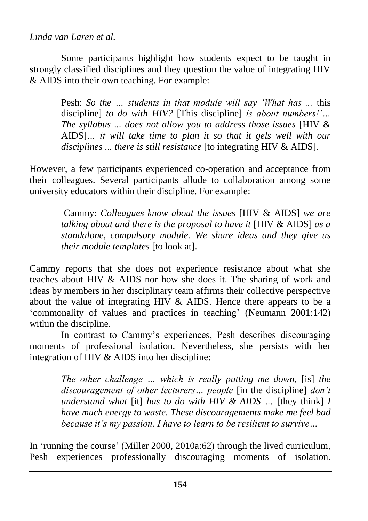#### *Linda van Laren et al.*

Some participants highlight how students expect to be taught in strongly classified disciplines and they question the value of integrating HIV & AIDS into their own teaching. For example:

> Pesh: *So the … students in that module will say 'What has ...* this discipline] *to do with HIV?* [This discipline] *is about numbers!'… The syllabus ... does not allow you to address those issues* [HIV & AIDS]*… it will take time to plan it so that it gels well with our disciplines ... there is still resistance* [to integrating HIV & AIDS].

However, a few participants experienced co-operation and acceptance from their colleagues. Several participants allude to collaboration among some university educators within their discipline. For example:

> Cammy: *Colleagues know about the issues* [HIV & AIDS] *we are talking about and there is the proposal to have it* [HIV & AIDS] *as a standalone, compulsory module. We share ideas and they give us their module templates* [to look at].

Cammy reports that she does not experience resistance about what she teaches about HIV & AIDS nor how she does it. The sharing of work and ideas by members in her disciplinary team affirms their collective perspective about the value of integrating HIV & AIDS. Hence there appears to be a 'commonality of values and practices in teaching' (Neumann 2001:142) within the discipline.

In contrast to Cammy's experiences, Pesh describes discouraging moments of professional isolation. Nevertheless, she persists with her integration of HIV & AIDS into her discipline:

> *The other challenge … which is really putting me down,* [is] *the discouragement of other lecturers… people* [in the discipline] *don't understand what* [it] *has to do with HIV & AIDS …* [they think] *I have much energy to waste. These discouragements make me feel bad because it's my passion. I have to learn to be resilient to survive…*

In 'running the course' (Miller 2000, 2010a:62) through the lived curriculum*,*  Pesh experiences professionally discouraging moments of isolation.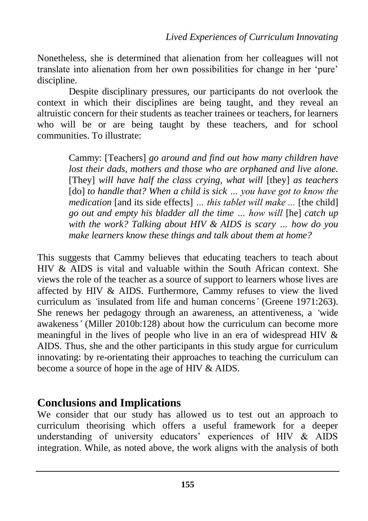Nonetheless, she is determined that alienation from her colleagues will not translate into alienation from her own possibilities for change in her 'pure' discipline.

Despite disciplinary pressures, our participants do not overlook the context in which their disciplines are being taught, and they reveal an altruistic concern for their students as teacher trainees or teachers, for learners who will be or are being taught by these teachers, and for school communities. To illustrate:

> Cammy: [Teachers] *go around and find out how many children have lost their dads, mothers and those who are orphaned and live alone.* [They] *will have half the class crying, what will* [they] *as teachers*  [do] *to handle that? When a child is sick ... you have got to know the medication* [and its side effects] *… this tablet will make ...* [the child] *go out and empty his bladder all the time … how will* [he] *catch up with the work? Talking about HIV & AIDS is scary … how do you make learners know these things and talk about them at home?*

This suggests that Cammy believes that educating teachers to teach about HIV & AIDS is vital and valuable within the South African context. She views the role of the teacher as a source of support to learners whose lives are affected by HIV & AIDS. Furthermore, Cammy refuses to view the lived curriculum as *'*insulated from life and human concerns*'* (Greene 1971:263). She renews her pedagogy through an awareness, an attentiveness, a *'*wide awakeness*'* (Miller 2010b:128) about how the curriculum can become more meaningful in the lives of people who live in an era of widespread HIV & AIDS. Thus, she and the other participants in this study argue for curriculum innovating: by re-orientating their approaches to teaching the curriculum can become a source of hope in the age of HIV & AIDS.

### **Conclusions and Implications**

We consider that our study has allowed us to test out an approach to curriculum theorising which offers a useful framework for a deeper understanding of university educators' experiences of HIV & AIDS integration. While, as noted above, the work aligns with the analysis of both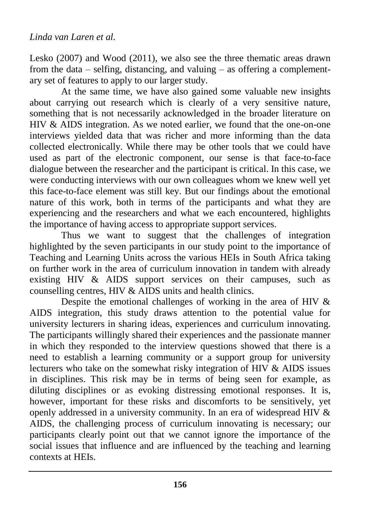Lesko (2007) and Wood (2011), we also see the three thematic areas drawn from the data – selfing, distancing, and valuing – as offering a complementary set of features to apply to our larger study.

At the same time, we have also gained some valuable new insights about carrying out research which is clearly of a very sensitive nature, something that is not necessarily acknowledged in the broader literature on HIV & AIDS integration. As we noted earlier, we found that the one-on-one interviews yielded data that was richer and more informing than the data collected electronically. While there may be other tools that we could have used as part of the electronic component, our sense is that face-to-face dialogue between the researcher and the participant is critical. In this case, we were conducting interviews with our own colleagues whom we knew well yet this face-to-face element was still key. But our findings about the emotional nature of this work, both in terms of the participants and what they are experiencing and the researchers and what we each encountered, highlights the importance of having access to appropriate support services.

Thus we want to suggest that the challenges of integration highlighted by the seven participants in our study point to the importance of Teaching and Learning Units across the various HEIs in South Africa taking on further work in the area of curriculum innovation in tandem with already existing HIV & AIDS support services on their campuses, such as counselling centres, HIV & AIDS units and health clinics.

Despite the emotional challenges of working in the area of HIV & AIDS integration, this study draws attention to the potential value for university lecturers in sharing ideas, experiences and curriculum innovating. The participants willingly shared their experiences and the passionate manner in which they responded to the interview questions showed that there is a need to establish a learning community or a support group for university lecturers who take on the somewhat risky integration of HIV & AIDS issues in disciplines. This risk may be in terms of being seen for example, as diluting disciplines or as evoking distressing emotional responses. It is, however, important for these risks and discomforts to be sensitively, yet openly addressed in a university community. In an era of widespread HIV & AIDS, the challenging process of curriculum innovating is necessary; our participants clearly point out that we cannot ignore the importance of the social issues that influence and are influenced by the teaching and learning contexts at HEIs.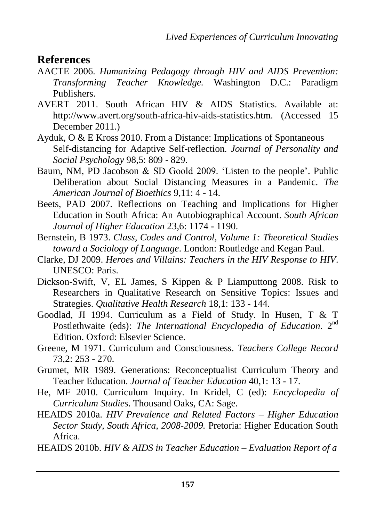#### **References**

- AACTE 2006. *Humanizing Pedagogy through HIV and AIDS Prevention: Transforming Teacher Knowledge.* Washington D.C.: Paradigm Publishers.
- AVERT 2011. South African HIV & AIDS Statistics. Available at: [http://www.avert.org/south-africa-hiv-aids-statistics.htm.](http://www.avert.org/south-africa-hiv-aids-statistics.htm) (Accessed 15 December 2011.)
- Ayduk, O & E Kross 2010. From a Distance: Implications of Spontaneous Self-distancing for Adaptive Self-reflection*. Journal of Personality and Social Psychology* 98,5: 809 - 829.
- Baum, NM, PD Jacobson & SD Goold 2009. 'Listen to the people'. Public Deliberation about Social Distancing Measures in a Pandemic. *The American Journal of Bioethics* 9,11: 4 - 14.
- Beets, PAD 2007. Reflections on Teaching and Implications for Higher Education in South Africa: An Autobiographical Account. *South African Journal of Higher Education* 23,6: 1174 - 1190.
- Bernstein, B 1973. *Class, Codes and Control, Volume 1: Theoretical Studies toward a Sociology of Language*. London: Routledge and Kegan Paul.
- Clarke, DJ 2009. *Heroes and Villains: Teachers in the HIV Response to HIV*. UNESCO: Paris.
- Dickson-Swift, V, EL James, S Kippen & P Liamputtong 2008. Risk to Researchers in Qualitative Research on Sensitive Topics: Issues and Strategies. *Qualitative Health Research* 18,1: 133 - 144.
- Goodlad, JI 1994. Curriculum as a Field of Study. In Husen, T & T Postlethwaite (eds): *The International Encyclopedia of Education*. 2nd Edition. Oxford: Elsevier Science.
- Greene, M 1971. Curriculum and Consciousness. *Teachers College Record* 73,2: 253 - 270.
- Grumet, MR 1989. Generations: Reconceptualist Curriculum Theory and Teacher Education. *Journal of Teacher Education* 40,1: 13 - 17.
- He, MF 2010. Curriculum Inquiry. In Kridel, C (ed): *Encyclopedia of Curriculum Studies*. Thousand Oaks, CA: Sage.
- HEAIDS 2010a. *HIV Prevalence and Related Factors – Higher Education Sector Study, South Africa, 2008-2009.* Pretoria: Higher Education South Africa.
- HEAIDS 2010b. *HIV & AIDS in Teacher Education – Evaluation Report of a*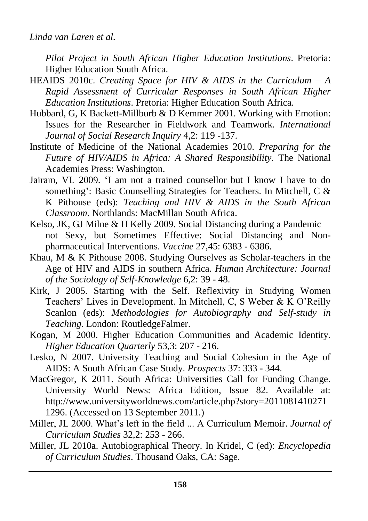*Pilot Project in South African Higher Education Institutions*. Pretoria: Higher Education South Africa.

- HEAIDS 2010c. *Creating Space for HIV & AIDS in the Curriculum – A Rapid Assessment of Curricular Responses in South African Higher Education Institutions*. Pretoria: Higher Education South Africa.
- Hubbard, G, K Backett-Millburb & D Kemmer 2001. Working with Emotion: Issues for the Researcher in Fieldwork and Teamwork*. International Journal of Social Research Inquiry* 4,2: 119 -137.
- Institute of Medicine of the National Academies 2010. *Preparing for the Future of HIV/AIDS in Africa: A Shared Responsibility.* The National Academies Press: Washington.
- Jairam, VL 2009. 'I am not a trained counsellor but I know I have to do something': Basic Counselling Strategies for Teachers. In Mitchell, C & K Pithouse (eds): *Teaching and HIV & AIDS in the South African Classroom*. Northlands: MacMillan South Africa.
- Kelso, JK, GJ Milne & H Kelly 2009. Social Distancing during a Pandemic not Sexy, but Sometimes Effective: Social Distancing and Nonpharmaceutical Interventions. *Vaccine* 27,45: 6383 - 6386.
- Khau, M & K Pithouse 2008. Studying Ourselves as Scholar-teachers in the Age of HIV and AIDS in southern Africa. *Human Architecture: Journal of the Sociology of Self-Knowledge* 6,2: 39 - 48.
- Kirk, J 2005. Starting with the Self. Reflexivity in Studying Women Teachers' Lives in Development. In Mitchell, C, S Weber & K O'Reilly Scanlon (eds): *Methodologies for Autobiography and Self-study in Teaching*. London: RoutledgeFalmer.
- Kogan, M 2000. Higher Education Communities and Academic Identity. *Higher Education Quarterly* 53,3: 207 - 216.
- Lesko, N 2007. University Teaching and Social Cohesion in the Age of AIDS: A South African Case Study. *Prospects* 37: 333 - 344.
- MacGregor, K 2011. South Africa: Universities Call for Funding Change. University World News: Africa Edition, Issue 82. Available at: [http://www.universityworldnews.com/article.php?story=2011081410271](http://www.universityworldnews.com/article.php?story=20110814102711296) [1296.](http://www.universityworldnews.com/article.php?story=20110814102711296) (Accessed on 13 September 2011.)
- Miller, JL 2000. What's left in the field ... A Curriculum Memoir. *Journal of Curriculum Studies* 32,2: 253 - 266.
- Miller, JL 2010a. Autobiographical Theory. In Kridel, C (ed): *Encyclopedia of Curriculum Studies*. Thousand Oaks, CA: Sage.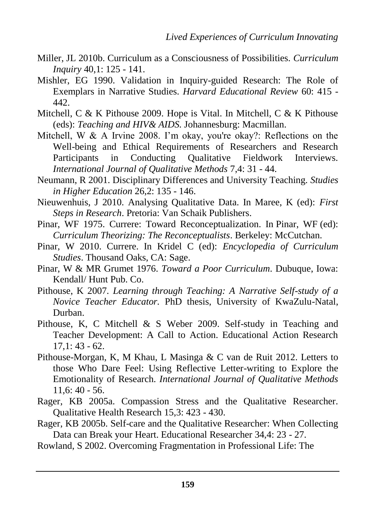- Miller, JL 2010b. Curriculum as a Consciousness of Possibilities. *Curriculum Inquiry* 40,1: 125 - 141.
- Mishler, EG 1990. Validation in Inquiry-guided Research: The Role of Exemplars in Narrative Studies. *Harvard Educational Review* 60: 415 - 442.
- Mitchell, C & K Pithouse 2009. Hope is Vital. In Mitchell, C & K Pithouse (eds): *Teaching and HIV& AIDS.* Johannesburg: Macmillan.
- Mitchell, W & A Irvine 2008. I'm okay, you're okay?: Reflections on the Well-being and Ethical Requirements of Researchers and Research Participants in Conducting Qualitative Fieldwork Interviews. *International Journal of Qualitative Methods* 7,4: 31 - 44.
- Neumann, R 2001. Disciplinary Differences and University Teaching. *Studies in Higher Education* 26,2: 135 - 146.
- Nieuwenhuis, J 2010. Analysing Qualitative Data. In Maree, K (ed): *First Steps in Research*. Pretoria: Van Schaik Publishers.
- Pinar, WF 1975. Currere: Toward Reconceptualization. In Pinar, WF (ed): *Curriculum Theorizing: The Reconceptualists*. Berkeley: McCutchan.
- Pinar, W 2010. Currere. In Kridel C (ed): *Encyclopedia of Curriculum Studies*. Thousand Oaks, CA: Sage.
- Pinar, W & MR Grumet 1976. *Toward a Poor Curriculum*. Dubuque, Iowa: Kendall/ Hunt Pub. Co.
- Pithouse, K 2007. *Learning through Teaching: A Narrative Self-study of a Novice Teacher Educator.* PhD thesis, University of KwaZulu-Natal, Durban.
- Pithouse, K, C Mitchell & S Weber 2009. Self-study in Teaching and Teacher Development: A Call to Action. Educational Action Research 17,1: 43 - 62.
- Pithouse-Morgan, K, M Khau, L Masinga & C van de Ruit 2012. Letters to those Who Dare Feel: Using Reflective Letter-writing to Explore the Emotionality of Research. *International Journal of Qualitative Methods* 11,6: 40 - 56.
- Rager, KB 2005a. Compassion Stress and the Qualitative Researcher. Qualitative Health Research 15,3: 423 - 430.
- Rager, KB 2005b. Self-care and the Qualitative Researcher: When Collecting Data can Break your Heart. Educational Researcher 34,4: 23 - 27.

Rowland, S 2002. Overcoming Fragmentation in Professional Life: The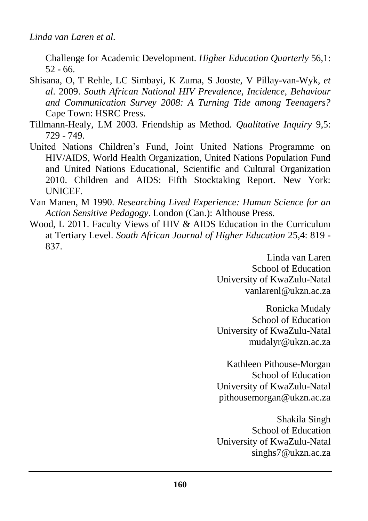Challenge for Academic Development. *Higher Education Quarterly* 56,1: 52 - 66.

- Shisana, O, T Rehle, LC Simbayi, K Zuma, S Jooste, V Pillay-van-Wyk, *et al*. 2009. *South African National HIV Prevalence, Incidence, Behaviour and Communication Survey 2008: A Turning Tide among Teenagers?* Cape Town: HSRC Press.
- Tillmann-Healy, LM 2003. Friendship as Method. *Qualitative Inquiry* 9,5: 729 - 749.
- United Nations Children's Fund, Joint United Nations Programme on HIV/AIDS, World Health Organization, United Nations Population Fund and United Nations Educational, Scientific and Cultural Organization 2010. Children and AIDS: Fifth Stocktaking Report. New York: **UNICEF.**
- Van Manen, M 1990. *Researching Lived Experience: Human Science for an Action Sensitive Pedagogy*. London (Can.): Althouse Press.
- Wood, L 2011. Faculty Views of HIV & AIDS Education in the Curriculum at Tertiary Level. *South African Journal of Higher Education* 25,4: 819 - 837.

Linda van Laren School of Education University of KwaZulu-Natal [vanlarenl@ukzn.ac.za](mailto:vanlarenl@ukzn.ac.za)

Ronicka Mudaly School of Education University of KwaZulu-Natal [mudalyr@ukzn.ac.za](mailto:mudalyr@ukzn.ac.za)

Kathleen Pithouse-Morgan School of Education University of KwaZulu-Natal [pithousemorgan@ukzn.ac.za](mailto:pithousemorgan@ukzn.ac.za)

Shakila Singh School of Education University of KwaZulu-Natal [singhs7@ukzn.ac.za](https://webmail.ukzn.ac.za/owa/redir.aspx?C=8dd65e61b43d4bb9b1df5d67ad5c6ecb&URL=mailto%3asinghs7%40ukzn.ac.za)